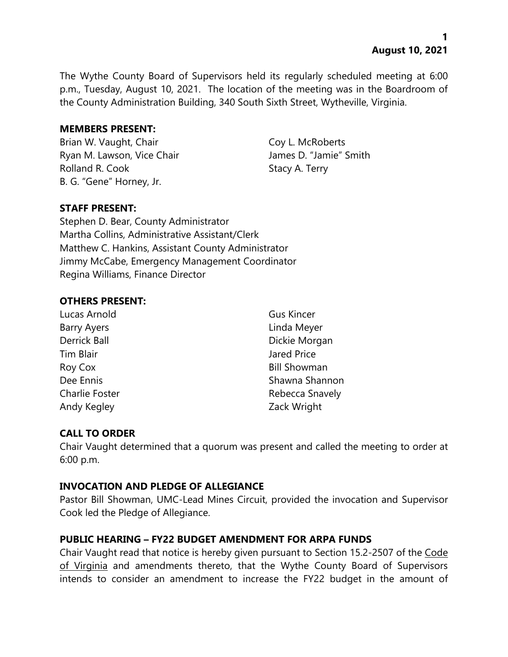**1 August 10, 2021**

The Wythe County Board of Supervisors held its regularly scheduled meeting at 6:00 p.m., Tuesday, August 10, 2021. The location of the meeting was in the Boardroom of the County Administration Building, 340 South Sixth Street, Wytheville, Virginia.

#### **MEMBERS PRESENT:**

Brian W. Vaught, Chair Coy L. McRoberts Ryan M. Lawson, Vice Chair **James D. "Jamie"** Smith Rolland R. Cook Stacy A. Terry B. G. "Gene" Horney, Jr.

### **STAFF PRESENT:**

Stephen D. Bear, County Administrator Martha Collins, Administrative Assistant/Clerk Matthew C. Hankins, Assistant County Administrator Jimmy McCabe, Emergency Management Coordinator Regina Williams, Finance Director

#### **OTHERS PRESENT:**

Lucas Arnold Gus Kincer Barry Ayers **Linda Meyer Tim Blair** Jared Price Roy Cox Bill Showman Andy Kegley **Andy Kegley** 2ack Wright

Derrick Ball Dickie Morgan Dee Ennis November 2012 Shawna Shannon Charlie Foster **Rebecca** Snavely

# **CALL TO ORDER**

Chair Vaught determined that a quorum was present and called the meeting to order at 6:00 p.m.

### **INVOCATION AND PLEDGE OF ALLEGIANCE**

Pastor Bill Showman, UMC-Lead Mines Circuit, provided the invocation and Supervisor Cook led the Pledge of Allegiance.

### **PUBLIC HEARING – FY22 BUDGET AMENDMENT FOR ARPA FUNDS**

Chair Vaught read that notice is hereby given pursuant to Section 15.2-2507 of the Code of Virginia and amendments thereto, that the Wythe County Board of Supervisors intends to consider an amendment to increase the FY22 budget in the amount of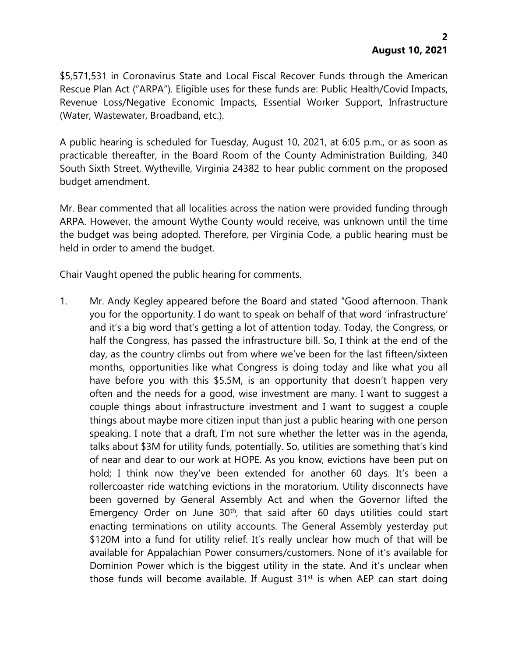\$5,571,531 in Coronavirus State and Local Fiscal Recover Funds through the American Rescue Plan Act ("ARPA"). Eligible uses for these funds are: Public Health/Covid Impacts, Revenue Loss/Negative Economic Impacts, Essential Worker Support, Infrastructure (Water, Wastewater, Broadband, etc.).

A public hearing is scheduled for Tuesday, August 10, 2021, at 6:05 p.m., or as soon as practicable thereafter, in the Board Room of the County Administration Building, 340 South Sixth Street, Wytheville, Virginia 24382 to hear public comment on the proposed budget amendment.

Mr. Bear commented that all localities across the nation were provided funding through ARPA. However, the amount Wythe County would receive, was unknown until the time the budget was being adopted. Therefore, per Virginia Code, a public hearing must be held in order to amend the budget.

Chair Vaught opened the public hearing for comments.

1. Mr. Andy Kegley appeared before the Board and stated "Good afternoon. Thank you for the opportunity. I do want to speak on behalf of that word 'infrastructure' and it's a big word that's getting a lot of attention today. Today, the Congress, or half the Congress, has passed the infrastructure bill. So, I think at the end of the day, as the country climbs out from where we've been for the last fifteen/sixteen months, opportunities like what Congress is doing today and like what you all have before you with this \$5.5M, is an opportunity that doesn't happen very often and the needs for a good, wise investment are many. I want to suggest a couple things about infrastructure investment and I want to suggest a couple things about maybe more citizen input than just a public hearing with one person speaking. I note that a draft, I'm not sure whether the letter was in the agenda, talks about \$3M for utility funds, potentially. So, utilities are something that's kind of near and dear to our work at HOPE. As you know, evictions have been put on hold; I think now they've been extended for another 60 days. It's been a rollercoaster ride watching evictions in the moratorium. Utility disconnects have been governed by General Assembly Act and when the Governor lifted the Emergency Order on June  $30<sup>th</sup>$ , that said after 60 days utilities could start enacting terminations on utility accounts. The General Assembly yesterday put \$120M into a fund for utility relief. It's really unclear how much of that will be available for Appalachian Power consumers/customers. None of it's available for Dominion Power which is the biggest utility in the state. And it's unclear when those funds will become available. If August  $31<sup>st</sup>$  is when AEP can start doing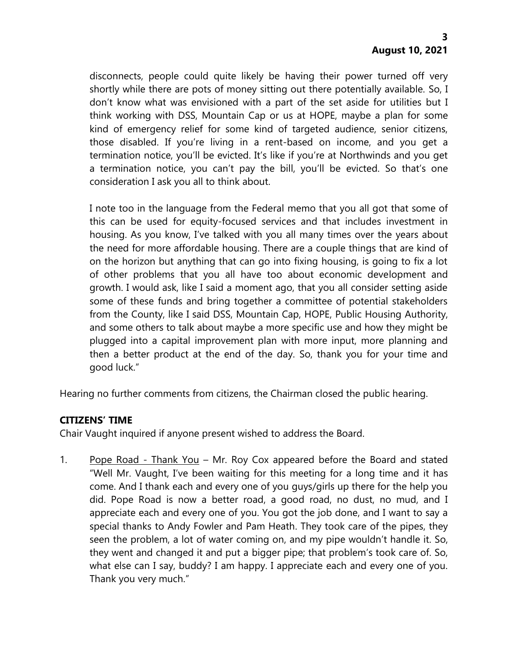disconnects, people could quite likely be having their power turned off very shortly while there are pots of money sitting out there potentially available. So, I don't know what was envisioned with a part of the set aside for utilities but I think working with DSS, Mountain Cap or us at HOPE, maybe a plan for some kind of emergency relief for some kind of targeted audience, senior citizens, those disabled. If you're living in a rent-based on income, and you get a termination notice, you'll be evicted. It's like if you're at Northwinds and you get a termination notice, you can't pay the bill, you'll be evicted. So that's one consideration I ask you all to think about.

I note too in the language from the Federal memo that you all got that some of this can be used for equity-focused services and that includes investment in housing. As you know, I've talked with you all many times over the years about the need for more affordable housing. There are a couple things that are kind of on the horizon but anything that can go into fixing housing, is going to fix a lot of other problems that you all have too about economic development and growth. I would ask, like I said a moment ago, that you all consider setting aside some of these funds and bring together a committee of potential stakeholders from the County, like I said DSS, Mountain Cap, HOPE, Public Housing Authority, and some others to talk about maybe a more specific use and how they might be plugged into a capital improvement plan with more input, more planning and then a better product at the end of the day. So, thank you for your time and good luck."

Hearing no further comments from citizens, the Chairman closed the public hearing.

### **CITIZENS' TIME**

Chair Vaught inquired if anyone present wished to address the Board.

1. Pope Road - Thank You – Mr. Roy Cox appeared before the Board and stated "Well Mr. Vaught, I've been waiting for this meeting for a long time and it has come. And I thank each and every one of you guys/girls up there for the help you did. Pope Road is now a better road, a good road, no dust, no mud, and I appreciate each and every one of you. You got the job done, and I want to say a special thanks to Andy Fowler and Pam Heath. They took care of the pipes, they seen the problem, a lot of water coming on, and my pipe wouldn't handle it. So, they went and changed it and put a bigger pipe; that problem's took care of. So, what else can I say, buddy? I am happy. I appreciate each and every one of you. Thank you very much."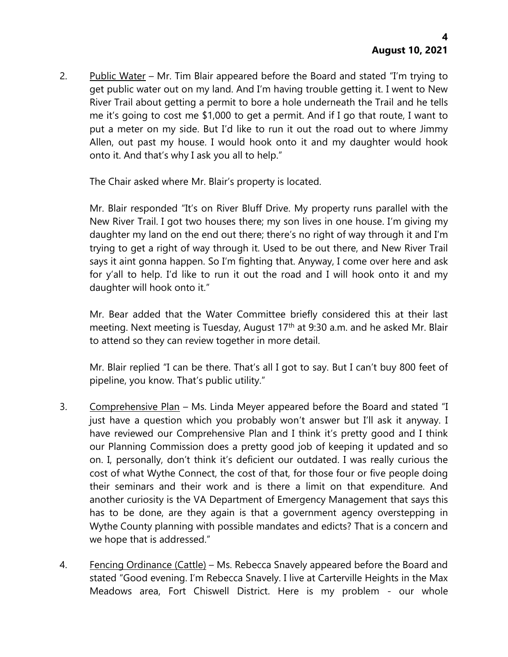2. Public Water – Mr. Tim Blair appeared before the Board and stated "I'm trying to get public water out on my land. And I'm having trouble getting it. I went to New River Trail about getting a permit to bore a hole underneath the Trail and he tells me it's going to cost me \$1,000 to get a permit. And if I go that route, I want to put a meter on my side. But I'd like to run it out the road out to where Jimmy Allen, out past my house. I would hook onto it and my daughter would hook onto it. And that's why I ask you all to help."

The Chair asked where Mr. Blair's property is located.

Mr. Blair responded "It's on River Bluff Drive. My property runs parallel with the New River Trail. I got two houses there; my son lives in one house. I'm giving my daughter my land on the end out there; there's no right of way through it and I'm trying to get a right of way through it. Used to be out there, and New River Trail says it aint gonna happen. So I'm fighting that. Anyway, I come over here and ask for y'all to help. I'd like to run it out the road and I will hook onto it and my daughter will hook onto it."

Mr. Bear added that the Water Committee briefly considered this at their last meeting. Next meeting is Tuesday, August 17<sup>th</sup> at 9:30 a.m. and he asked Mr. Blair to attend so they can review together in more detail.

Mr. Blair replied "I can be there. That's all I got to say. But I can't buy 800 feet of pipeline, you know. That's public utility."

- 3. Comprehensive Plan Ms. Linda Meyer appeared before the Board and stated "I just have a question which you probably won't answer but I'll ask it anyway. I have reviewed our Comprehensive Plan and I think it's pretty good and I think our Planning Commission does a pretty good job of keeping it updated and so on. I, personally, don't think it's deficient our outdated. I was really curious the cost of what Wythe Connect, the cost of that, for those four or five people doing their seminars and their work and is there a limit on that expenditure. And another curiosity is the VA Department of Emergency Management that says this has to be done, are they again is that a government agency overstepping in Wythe County planning with possible mandates and edicts? That is a concern and we hope that is addressed."
- 4. Fencing Ordinance (Cattle) Ms. Rebecca Snavely appeared before the Board and stated "Good evening. I'm Rebecca Snavely. I live at Carterville Heights in the Max Meadows area, Fort Chiswell District. Here is my problem - our whole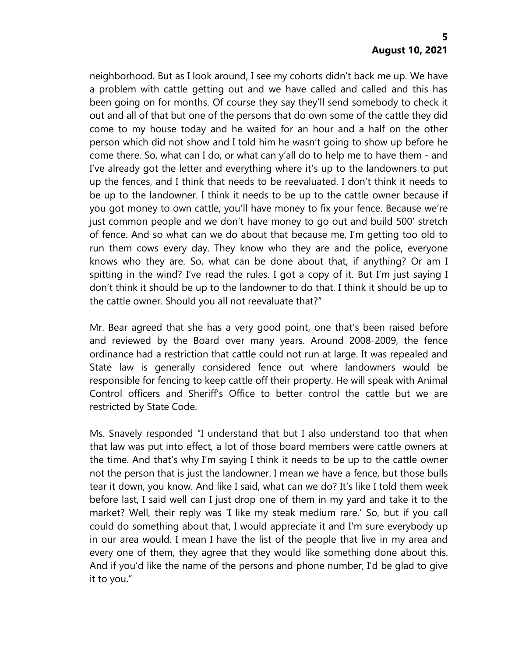neighborhood. But as I look around, I see my cohorts didn't back me up. We have a problem with cattle getting out and we have called and called and this has been going on for months. Of course they say they'll send somebody to check it out and all of that but one of the persons that do own some of the cattle they did come to my house today and he waited for an hour and a half on the other person which did not show and I told him he wasn't going to show up before he come there. So, what can I do, or what can y'all do to help me to have them - and I've already got the letter and everything where it's up to the landowners to put up the fences, and I think that needs to be reevaluated. I don't think it needs to be up to the landowner. I think it needs to be up to the cattle owner because if you got money to own cattle, you'll have money to fix your fence. Because we're just common people and we don't have money to go out and build 500' stretch of fence. And so what can we do about that because me, I'm getting too old to run them cows every day. They know who they are and the police, everyone knows who they are. So, what can be done about that, if anything? Or am I spitting in the wind? I've read the rules. I got a copy of it. But I'm just saying I don't think it should be up to the landowner to do that. I think it should be up to the cattle owner. Should you all not reevaluate that?"

Mr. Bear agreed that she has a very good point, one that's been raised before and reviewed by the Board over many years. Around 2008-2009, the fence ordinance had a restriction that cattle could not run at large. It was repealed and State law is generally considered fence out where landowners would be responsible for fencing to keep cattle off their property. He will speak with Animal Control officers and Sheriff's Office to better control the cattle but we are restricted by State Code.

Ms. Snavely responded "I understand that but I also understand too that when that law was put into effect, a lot of those board members were cattle owners at the time. And that's why I'm saying I think it needs to be up to the cattle owner not the person that is just the landowner. I mean we have a fence, but those bulls tear it down, you know. And like I said, what can we do? It's like I told them week before last, I said well can I just drop one of them in my yard and take it to the market? Well, their reply was 'I like my steak medium rare.' So, but if you call could do something about that, I would appreciate it and I'm sure everybody up in our area would. I mean I have the list of the people that live in my area and every one of them, they agree that they would like something done about this. And if you'd like the name of the persons and phone number, I'd be glad to give it to you."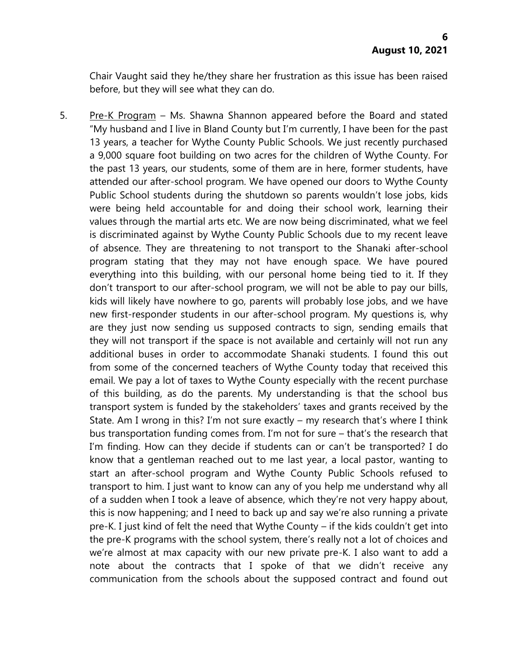Chair Vaught said they he/they share her frustration as this issue has been raised before, but they will see what they can do.

5. Pre-K Program – Ms. Shawna Shannon appeared before the Board and stated "My husband and I live in Bland County but I'm currently, I have been for the past 13 years, a teacher for Wythe County Public Schools. We just recently purchased a 9,000 square foot building on two acres for the children of Wythe County. For the past 13 years, our students, some of them are in here, former students, have attended our after-school program. We have opened our doors to Wythe County Public School students during the shutdown so parents wouldn't lose jobs, kids were being held accountable for and doing their school work, learning their values through the martial arts etc. We are now being discriminated, what we feel is discriminated against by Wythe County Public Schools due to my recent leave of absence. They are threatening to not transport to the Shanaki after-school program stating that they may not have enough space. We have poured everything into this building, with our personal home being tied to it. If they don't transport to our after-school program, we will not be able to pay our bills, kids will likely have nowhere to go, parents will probably lose jobs, and we have new first-responder students in our after-school program. My questions is, why are they just now sending us supposed contracts to sign, sending emails that they will not transport if the space is not available and certainly will not run any additional buses in order to accommodate Shanaki students. I found this out from some of the concerned teachers of Wythe County today that received this email. We pay a lot of taxes to Wythe County especially with the recent purchase of this building, as do the parents. My understanding is that the school bus transport system is funded by the stakeholders' taxes and grants received by the State. Am I wrong in this? I'm not sure exactly – my research that's where I think bus transportation funding comes from. I'm not for sure – that's the research that I'm finding. How can they decide if students can or can't be transported? I do know that a gentleman reached out to me last year, a local pastor, wanting to start an after-school program and Wythe County Public Schools refused to transport to him. I just want to know can any of you help me understand why all of a sudden when I took a leave of absence, which they're not very happy about, this is now happening; and I need to back up and say we're also running a private pre-K. I just kind of felt the need that Wythe County – if the kids couldn't get into the pre-K programs with the school system, there's really not a lot of choices and we're almost at max capacity with our new private pre-K. I also want to add a note about the contracts that I spoke of that we didn't receive any communication from the schools about the supposed contract and found out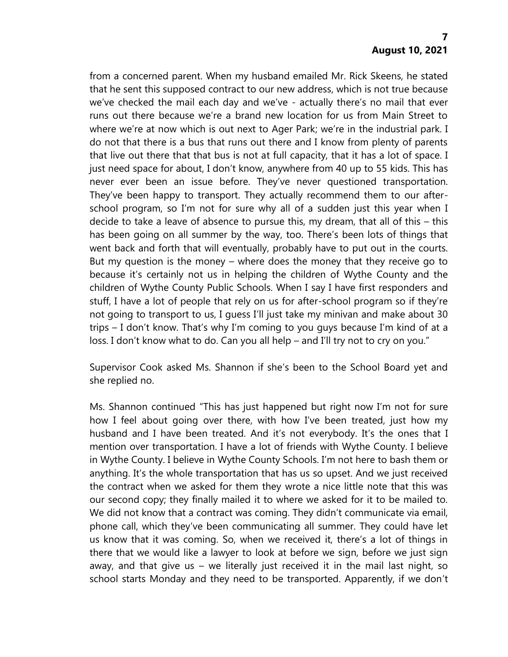from a concerned parent. When my husband emailed Mr. Rick Skeens, he stated that he sent this supposed contract to our new address, which is not true because we've checked the mail each day and we've - actually there's no mail that ever runs out there because we're a brand new location for us from Main Street to where we're at now which is out next to Ager Park; we're in the industrial park. I do not that there is a bus that runs out there and I know from plenty of parents that live out there that that bus is not at full capacity, that it has a lot of space. I just need space for about, I don't know, anywhere from 40 up to 55 kids. This has never ever been an issue before. They've never questioned transportation. They've been happy to transport. They actually recommend them to our afterschool program, so I'm not for sure why all of a sudden just this year when I decide to take a leave of absence to pursue this, my dream, that all of this – this has been going on all summer by the way, too. There's been lots of things that went back and forth that will eventually, probably have to put out in the courts. But my question is the money – where does the money that they receive go to because it's certainly not us in helping the children of Wythe County and the children of Wythe County Public Schools. When I say I have first responders and stuff, I have a lot of people that rely on us for after-school program so if they're not going to transport to us, I guess I'll just take my minivan and make about 30 trips – I don't know. That's why I'm coming to you guys because I'm kind of at a loss. I don't know what to do. Can you all help – and I'll try not to cry on you."

Supervisor Cook asked Ms. Shannon if she's been to the School Board yet and she replied no.

Ms. Shannon continued "This has just happened but right now I'm not for sure how I feel about going over there, with how I've been treated, just how my husband and I have been treated. And it's not everybody. It's the ones that I mention over transportation. I have a lot of friends with Wythe County. I believe in Wythe County. I believe in Wythe County Schools. I'm not here to bash them or anything. It's the whole transportation that has us so upset. And we just received the contract when we asked for them they wrote a nice little note that this was our second copy; they finally mailed it to where we asked for it to be mailed to. We did not know that a contract was coming. They didn't communicate via email, phone call, which they've been communicating all summer. They could have let us know that it was coming. So, when we received it, there's a lot of things in there that we would like a lawyer to look at before we sign, before we just sign away, and that give us – we literally just received it in the mail last night, so school starts Monday and they need to be transported. Apparently, if we don't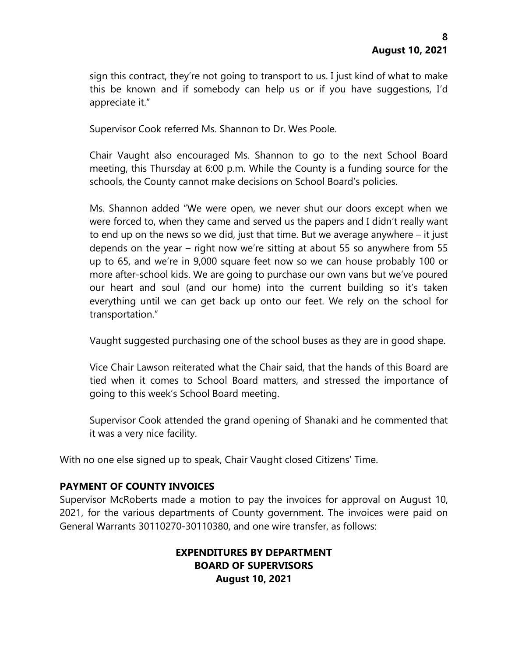sign this contract, they're not going to transport to us. I just kind of what to make this be known and if somebody can help us or if you have suggestions, I'd appreciate it."

Supervisor Cook referred Ms. Shannon to Dr. Wes Poole.

Chair Vaught also encouraged Ms. Shannon to go to the next School Board meeting, this Thursday at 6:00 p.m. While the County is a funding source for the schools, the County cannot make decisions on School Board's policies.

Ms. Shannon added "We were open, we never shut our doors except when we were forced to, when they came and served us the papers and I didn't really want to end up on the news so we did, just that time. But we average anywhere – it just depends on the year – right now we're sitting at about 55 so anywhere from 55 up to 65, and we're in 9,000 square feet now so we can house probably 100 or more after-school kids. We are going to purchase our own vans but we've poured our heart and soul (and our home) into the current building so it's taken everything until we can get back up onto our feet. We rely on the school for transportation."

Vaught suggested purchasing one of the school buses as they are in good shape.

Vice Chair Lawson reiterated what the Chair said, that the hands of this Board are tied when it comes to School Board matters, and stressed the importance of going to this week's School Board meeting.

Supervisor Cook attended the grand opening of Shanaki and he commented that it was a very nice facility.

With no one else signed up to speak, Chair Vaught closed Citizens' Time.

### **PAYMENT OF COUNTY INVOICES**

Supervisor McRoberts made a motion to pay the invoices for approval on August 10, 2021, for the various departments of County government. The invoices were paid on General Warrants 30110270-30110380, and one wire transfer, as follows:

### **EXPENDITURES BY DEPARTMENT BOARD OF SUPERVISORS August 10, 2021**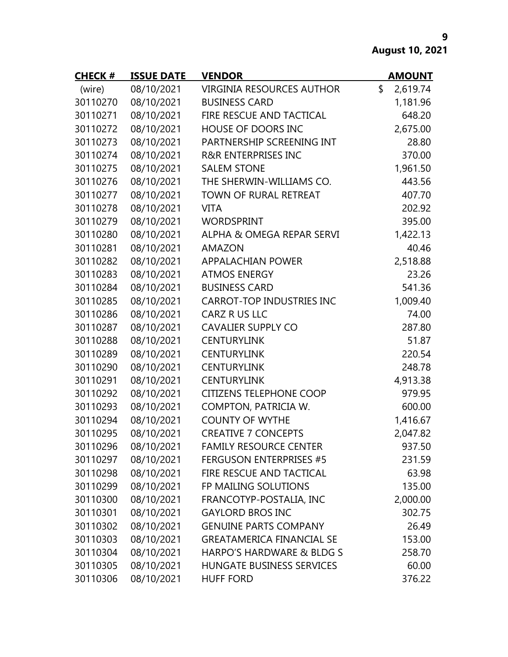**August 10, 2021**

| <b>CHECK#</b> | <b>ISSUE DATE</b> | <b>VENDOR</b>                    | <b>AMOUNT</b>  |
|---------------|-------------------|----------------------------------|----------------|
| (wire)        | 08/10/2021        | <b>VIRGINIA RESOURCES AUTHOR</b> | \$<br>2,619.74 |
| 30110270      | 08/10/2021        | <b>BUSINESS CARD</b>             | 1,181.96       |
| 30110271      | 08/10/2021        | FIRE RESCUE AND TACTICAL         | 648.20         |
| 30110272      | 08/10/2021        | HOUSE OF DOORS INC               | 2,675.00       |
| 30110273      | 08/10/2021        | PARTNERSHIP SCREENING INT        | 28.80          |
| 30110274      | 08/10/2021        | <b>R&amp;R ENTERPRISES INC</b>   | 370.00         |
| 30110275      | 08/10/2021        | <b>SALEM STONE</b>               | 1,961.50       |
| 30110276      | 08/10/2021        | THE SHERWIN-WILLIAMS CO.         | 443.56         |
| 30110277      | 08/10/2021        | TOWN OF RURAL RETREAT            | 407.70         |
| 30110278      | 08/10/2021        | <b>VITA</b>                      | 202.92         |
| 30110279      | 08/10/2021        | <b>WORDSPRINT</b>                | 395.00         |
| 30110280      | 08/10/2021        | ALPHA & OMEGA REPAR SERVI        | 1,422.13       |
| 30110281      | 08/10/2021        | <b>AMAZON</b>                    | 40.46          |
| 30110282      | 08/10/2021        | <b>APPALACHIAN POWER</b>         | 2,518.88       |
| 30110283      | 08/10/2021        | <b>ATMOS ENERGY</b>              | 23.26          |
| 30110284      | 08/10/2021        | <b>BUSINESS CARD</b>             | 541.36         |
| 30110285      | 08/10/2021        | <b>CARROT-TOP INDUSTRIES INC</b> | 1,009.40       |
| 30110286      | 08/10/2021        | CARZ R US LLC                    | 74.00          |
| 30110287      | 08/10/2021        | <b>CAVALIER SUPPLY CO</b>        | 287.80         |
| 30110288      | 08/10/2021        | <b>CENTURYLINK</b>               | 51.87          |
| 30110289      | 08/10/2021        | <b>CENTURYLINK</b>               | 220.54         |
| 30110290      | 08/10/2021        | <b>CENTURYLINK</b>               | 248.78         |
| 30110291      | 08/10/2021        | <b>CENTURYLINK</b>               | 4,913.38       |
| 30110292      | 08/10/2021        | <b>CITIZENS TELEPHONE COOP</b>   | 979.95         |
| 30110293      | 08/10/2021        | COMPTON, PATRICIA W.             | 600.00         |
| 30110294      | 08/10/2021        | <b>COUNTY OF WYTHE</b>           | 1,416.67       |
| 30110295      | 08/10/2021        | <b>CREATIVE 7 CONCEPTS</b>       | 2,047.82       |
| 30110296      | 08/10/2021        | <b>FAMILY RESOURCE CENTER</b>    | 937.50         |
| 30110297      | 08/10/2021        | <b>FERGUSON ENTERPRISES #5</b>   | 231.59         |
| 30110298      | 08/10/2021        | FIRE RESCUE AND TACTICAL         | 63.98          |
| 30110299      | 08/10/2021        | FP MAILING SOLUTIONS             | 135.00         |
| 30110300      | 08/10/2021        | FRANCOTYP-POSTALIA, INC          | 2,000.00       |
| 30110301      | 08/10/2021        | <b>GAYLORD BROS INC</b>          | 302.75         |
| 30110302      | 08/10/2021        | <b>GENUINE PARTS COMPANY</b>     | 26.49          |
| 30110303      | 08/10/2021        | <b>GREATAMERICA FINANCIAL SE</b> | 153.00         |
| 30110304      | 08/10/2021        | HARPO'S HARDWARE & BLDG S        | 258.70         |
| 30110305      | 08/10/2021        | <b>HUNGATE BUSINESS SERVICES</b> | 60.00          |
| 30110306      | 08/10/2021        | <b>HUFF FORD</b>                 | 376.22         |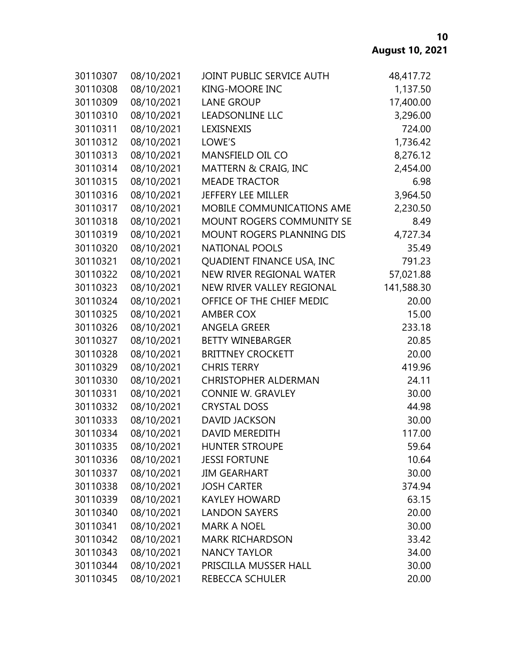| 30110307 | 08/10/2021 | JOINT PUBLIC SERVICE AUTH   | 48,417.72  |
|----------|------------|-----------------------------|------------|
| 30110308 | 08/10/2021 | <b>KING-MOORE INC</b>       | 1,137.50   |
| 30110309 | 08/10/2021 | <b>LANE GROUP</b>           | 17,400.00  |
| 30110310 | 08/10/2021 | <b>LEADSONLINE LLC</b>      | 3,296.00   |
| 30110311 | 08/10/2021 | LEXISNEXIS                  | 724.00     |
| 30110312 | 08/10/2021 | LOWE'S                      | 1,736.42   |
| 30110313 | 08/10/2021 | MANSFIELD OIL CO            | 8,276.12   |
| 30110314 | 08/10/2021 | MATTERN & CRAIG, INC        | 2,454.00   |
| 30110315 | 08/10/2021 | <b>MEADE TRACTOR</b>        | 6.98       |
| 30110316 | 08/10/2021 | <b>JEFFERY LEE MILLER</b>   | 3,964.50   |
| 30110317 | 08/10/2021 | MOBILE COMMUNICATIONS AME   | 2,230.50   |
| 30110318 | 08/10/2021 | MOUNT ROGERS COMMUNITY SE   | 8.49       |
| 30110319 | 08/10/2021 | MOUNT ROGERS PLANNING DIS   | 4,727.34   |
| 30110320 | 08/10/2021 | <b>NATIONAL POOLS</b>       | 35.49      |
| 30110321 | 08/10/2021 | QUADIENT FINANCE USA, INC   | 791.23     |
| 30110322 | 08/10/2021 | NEW RIVER REGIONAL WATER    | 57,021.88  |
| 30110323 | 08/10/2021 | NEW RIVER VALLEY REGIONAL   | 141,588.30 |
| 30110324 | 08/10/2021 | OFFICE OF THE CHIEF MEDIC   | 20.00      |
| 30110325 | 08/10/2021 | <b>AMBER COX</b>            | 15.00      |
| 30110326 | 08/10/2021 | <b>ANGELA GREER</b>         | 233.18     |
| 30110327 | 08/10/2021 | <b>BETTY WINEBARGER</b>     | 20.85      |
| 30110328 | 08/10/2021 | <b>BRITTNEY CROCKETT</b>    | 20.00      |
| 30110329 | 08/10/2021 | <b>CHRIS TERRY</b>          | 419.96     |
| 30110330 | 08/10/2021 | <b>CHRISTOPHER ALDERMAN</b> | 24.11      |
| 30110331 | 08/10/2021 | <b>CONNIE W. GRAVLEY</b>    | 30.00      |
| 30110332 | 08/10/2021 | <b>CRYSTAL DOSS</b>         | 44.98      |
| 30110333 | 08/10/2021 | <b>DAVID JACKSON</b>        | 30.00      |
| 30110334 | 08/10/2021 | <b>DAVID MEREDITH</b>       | 117.00     |
| 30110335 | 08/10/2021 | <b>HUNTER STROUPE</b>       | 59.64      |
| 30110336 | 08/10/2021 | <b>JESSI FORTUNE</b>        | 10.64      |
| 30110337 | 08/10/2021 | <b>JIM GEARHART</b>         | 30.00      |
| 30110338 | 08/10/2021 | <b>JOSH CARTER</b>          | 374.94     |
| 30110339 | 08/10/2021 | <b>KAYLEY HOWARD</b>        | 63.15      |
| 30110340 | 08/10/2021 | <b>LANDON SAYERS</b>        | 20.00      |
| 30110341 | 08/10/2021 | <b>MARK A NOEL</b>          | 30.00      |
| 30110342 | 08/10/2021 | <b>MARK RICHARDSON</b>      | 33.42      |
| 30110343 | 08/10/2021 | <b>NANCY TAYLOR</b>         | 34.00      |
| 30110344 | 08/10/2021 | PRISCILLA MUSSER HALL       | 30.00      |
| 30110345 | 08/10/2021 | REBECCA SCHULER             | 20.00      |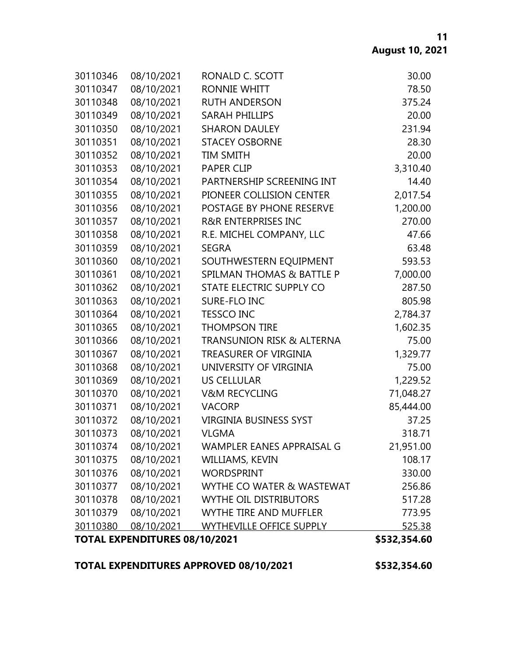| <b>TOTAL EXPENDITURES 08/10/2021</b> |            |                                      | \$532,354.60  |
|--------------------------------------|------------|--------------------------------------|---------------|
| 30110380                             | 08/10/2021 | <b>WYTHEVILLE OFFICE SUPPLY</b>      | <u>525.38</u> |
| 30110379                             | 08/10/2021 | WYTHE TIRE AND MUFFLER               | 773.95        |
| 30110378                             | 08/10/2021 | <b>WYTHE OIL DISTRIBUTORS</b>        | 517.28        |
| 30110377                             | 08/10/2021 | WYTHE CO WATER & WASTEWAT            | 256.86        |
| 30110376                             | 08/10/2021 | <b>WORDSPRINT</b>                    | 330.00        |
| 30110375                             | 08/10/2021 | WILLIAMS, KEVIN                      | 108.17        |
| 30110374                             | 08/10/2021 | WAMPLER EANES APPRAISAL G            | 21,951.00     |
| 30110373                             | 08/10/2021 | <b>VLGMA</b>                         | 318.71        |
| 30110372                             | 08/10/2021 | <b>VIRGINIA BUSINESS SYST</b>        | 37.25         |
| 30110371                             | 08/10/2021 | <b>VACORP</b>                        | 85,444.00     |
| 30110370                             | 08/10/2021 | <b>V&amp;M RECYCLING</b>             | 71,048.27     |
| 30110369                             | 08/10/2021 | <b>US CELLULAR</b>                   | 1,229.52      |
| 30110368                             | 08/10/2021 | UNIVERSITY OF VIRGINIA               | 75.00         |
| 30110367                             | 08/10/2021 | TREASURER OF VIRGINIA                | 1,329.77      |
| 30110366                             | 08/10/2021 | <b>TRANSUNION RISK &amp; ALTERNA</b> | 75.00         |
| 30110365                             | 08/10/2021 | <b>THOMPSON TIRE</b>                 | 1,602.35      |
| 30110364                             | 08/10/2021 | <b>TESSCO INC</b>                    | 2,784.37      |
| 30110363                             | 08/10/2021 | SURE-FLO INC                         | 805.98        |
| 30110362                             | 08/10/2021 | STATE ELECTRIC SUPPLY CO             | 287.50        |
| 30110361                             | 08/10/2021 | <b>SPILMAN THOMAS &amp; BATTLE P</b> | 7,000.00      |
| 30110360                             | 08/10/2021 | SOUTHWESTERN EQUIPMENT               | 593.53        |
| 30110359                             | 08/10/2021 | <b>SEGRA</b>                         | 63.48         |
| 30110358                             | 08/10/2021 | R.E. MICHEL COMPANY, LLC             | 47.66         |
| 30110357                             | 08/10/2021 | <b>R&amp;R ENTERPRISES INC</b>       | 270.00        |
| 30110356                             | 08/10/2021 | POSTAGE BY PHONE RESERVE             | 1,200.00      |
| 30110355                             | 08/10/2021 | PIONEER COLLISION CENTER             | 2,017.54      |
| 30110354                             | 08/10/2021 | PARTNERSHIP SCREENING INT            | 14.40         |
| 30110353                             | 08/10/2021 | <b>PAPER CLIP</b>                    | 3,310.40      |
| 30110352                             | 08/10/2021 | <b>TIM SMITH</b>                     | 20.00         |
| 30110351                             | 08/10/2021 | <b>STACEY OSBORNE</b>                | 28.30         |
| 30110350                             | 08/10/2021 | <b>SHARON DAULEY</b>                 | 231.94        |
| 30110349                             | 08/10/2021 | <b>SARAH PHILLIPS</b>                | 20.00         |
| 30110348                             | 08/10/2021 | <b>RUTH ANDERSON</b>                 | 375.24        |
| 30110347                             | 08/10/2021 | <b>RONNIE WHITT</b>                  | 78.50         |
| 30110346                             | 08/10/2021 | RONALD C. SCOTT                      | 30.00         |

# **TOTAL EXPENDITURES APPROVED 08/10/2021 \$532,354.60**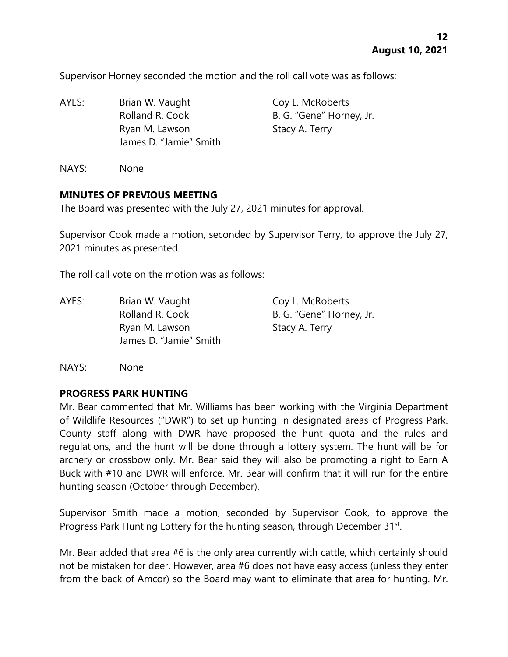Supervisor Horney seconded the motion and the roll call vote was as follows:

AYES: Brian W. Vaught Coy L. McRoberts Rolland R. Cook B. G. "Gene" Horney, Jr. Ryan M. Lawson Stacy A. Terry James D. "Jamie" Smith

NAYS: None

#### **MINUTES OF PREVIOUS MEETING**

The Board was presented with the July 27, 2021 minutes for approval.

Supervisor Cook made a motion, seconded by Supervisor Terry, to approve the July 27, 2021 minutes as presented.

The roll call vote on the motion was as follows:

AYES: Brian W. Vaught Coy L. McRoberts Rolland R. Cook B. G. "Gene" Horney, Jr. Ryan M. Lawson Stacy A. Terry James D. "Jamie" Smith

NAYS: None

#### **PROGRESS PARK HUNTING**

Mr. Bear commented that Mr. Williams has been working with the Virginia Department of Wildlife Resources ("DWR") to set up hunting in designated areas of Progress Park. County staff along with DWR have proposed the hunt quota and the rules and regulations, and the hunt will be done through a lottery system. The hunt will be for archery or crossbow only. Mr. Bear said they will also be promoting a right to Earn A Buck with #10 and DWR will enforce. Mr. Bear will confirm that it will run for the entire hunting season (October through December).

Supervisor Smith made a motion, seconded by Supervisor Cook, to approve the Progress Park Hunting Lottery for the hunting season, through December 31st.

Mr. Bear added that area #6 is the only area currently with cattle, which certainly should not be mistaken for deer. However, area #6 does not have easy access (unless they enter from the back of Amcor) so the Board may want to eliminate that area for hunting. Mr.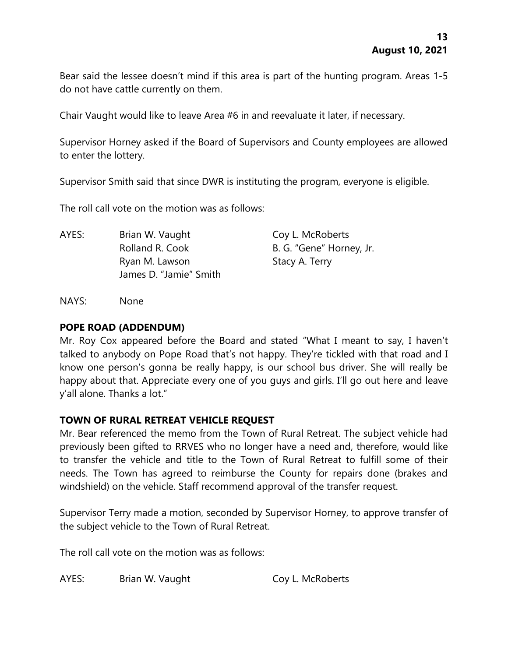Bear said the lessee doesn't mind if this area is part of the hunting program. Areas 1-5 do not have cattle currently on them.

Chair Vaught would like to leave Area #6 in and reevaluate it later, if necessary.

Supervisor Horney asked if the Board of Supervisors and County employees are allowed to enter the lottery.

Supervisor Smith said that since DWR is instituting the program, everyone is eligible.

The roll call vote on the motion was as follows:

AYES: Brian W. Vaught Coy L. McRoberts Rolland R. Cook B. G. "Gene" Horney, Jr. Ryan M. Lawson Stacy A. Terry James D. "Jamie" Smith

NAYS: None

#### **POPE ROAD (ADDENDUM)**

Mr. Roy Cox appeared before the Board and stated "What I meant to say, I haven't talked to anybody on Pope Road that's not happy. They're tickled with that road and I know one person's gonna be really happy, is our school bus driver. She will really be happy about that. Appreciate every one of you guys and girls. I'll go out here and leave y'all alone. Thanks a lot."

### **TOWN OF RURAL RETREAT VEHICLE REQUEST**

Mr. Bear referenced the memo from the Town of Rural Retreat. The subject vehicle had previously been gifted to RRVES who no longer have a need and, therefore, would like to transfer the vehicle and title to the Town of Rural Retreat to fulfill some of their needs. The Town has agreed to reimburse the County for repairs done (brakes and windshield) on the vehicle. Staff recommend approval of the transfer request.

Supervisor Terry made a motion, seconded by Supervisor Horney, to approve transfer of the subject vehicle to the Town of Rural Retreat.

The roll call vote on the motion was as follows:

AYES: Brian W. Vaught Coy L. McRoberts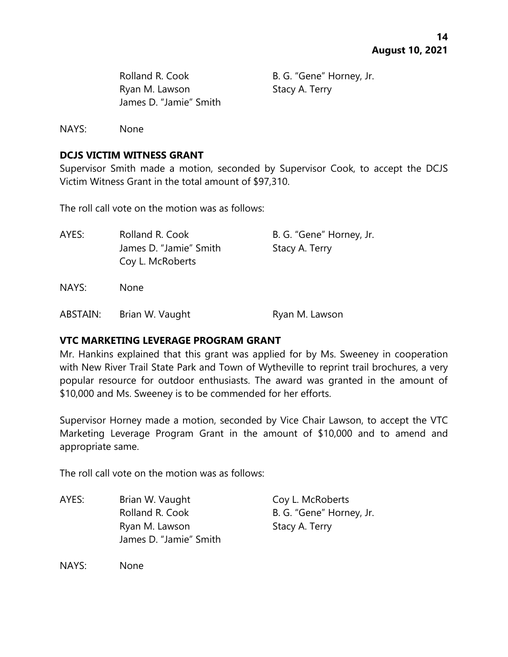Rolland R. Cook B. G. "Gene" Horney, Jr. Ryan M. Lawson Stacy A. Terry James D. "Jamie" Smith

NAYS: None

### **DCJS VICTIM WITNESS GRANT**

Supervisor Smith made a motion, seconded by Supervisor Cook, to accept the DCJS Victim Witness Grant in the total amount of \$97,310.

The roll call vote on the motion was as follows:

| AYES:    | Rolland R. Cook        | B. G. "Gene" Horney, Jr. |
|----------|------------------------|--------------------------|
|          | James D. "Jamie" Smith | Stacy A. Terry           |
|          | Coy L. McRoberts       |                          |
| NAYS:    | <b>None</b>            |                          |
| ABSTAIN: | Brian W. Vaught        | Ryan M. Lawson           |

#### **VTC MARKETING LEVERAGE PROGRAM GRANT**

Mr. Hankins explained that this grant was applied for by Ms. Sweeney in cooperation with New River Trail State Park and Town of Wytheville to reprint trail brochures, a very popular resource for outdoor enthusiasts. The award was granted in the amount of \$10,000 and Ms. Sweeney is to be commended for her efforts.

Supervisor Horney made a motion, seconded by Vice Chair Lawson, to accept the VTC Marketing Leverage Program Grant in the amount of \$10,000 and to amend and appropriate same.

The roll call vote on the motion was as follows:

AYES: Brian W. Vaught Coy L. McRoberts Rolland R. Cook B. G. "Gene" Horney, Jr. Ryan M. Lawson Stacy A. Terry James D. "Jamie" Smith

NAYS: None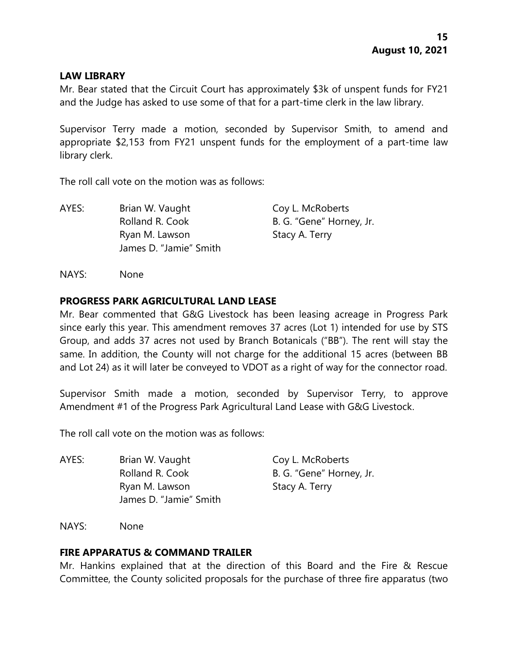#### **LAW LIBRARY**

Mr. Bear stated that the Circuit Court has approximately \$3k of unspent funds for FY21 and the Judge has asked to use some of that for a part-time clerk in the law library.

Supervisor Terry made a motion, seconded by Supervisor Smith, to amend and appropriate \$2,153 from FY21 unspent funds for the employment of a part-time law library clerk.

The roll call vote on the motion was as follows:

AYES: Brian W. Vaught Coy L. McRoberts Rolland R. Cook B. G. "Gene" Horney, Jr. Ryan M. Lawson Stacy A. Terry James D. "Jamie" Smith

NAYS: None

### **PROGRESS PARK AGRICULTURAL LAND LEASE**

Mr. Bear commented that G&G Livestock has been leasing acreage in Progress Park since early this year. This amendment removes 37 acres (Lot 1) intended for use by STS Group, and adds 37 acres not used by Branch Botanicals ("BB"). The rent will stay the same. In addition, the County will not charge for the additional 15 acres (between BB and Lot 24) as it will later be conveyed to VDOT as a right of way for the connector road.

Supervisor Smith made a motion, seconded by Supervisor Terry, to approve Amendment #1 of the Progress Park Agricultural Land Lease with G&G Livestock.

The roll call vote on the motion was as follows:

AYES: Brian W. Vaught Coy L. McRoberts Rolland R. Cook B. G. "Gene" Horney, Jr. Ryan M. Lawson Stacy A. Terry James D. "Jamie" Smith

NAYS: None

#### **FIRE APPARATUS & COMMAND TRAILER**

Mr. Hankins explained that at the direction of this Board and the Fire & Rescue Committee, the County solicited proposals for the purchase of three fire apparatus (two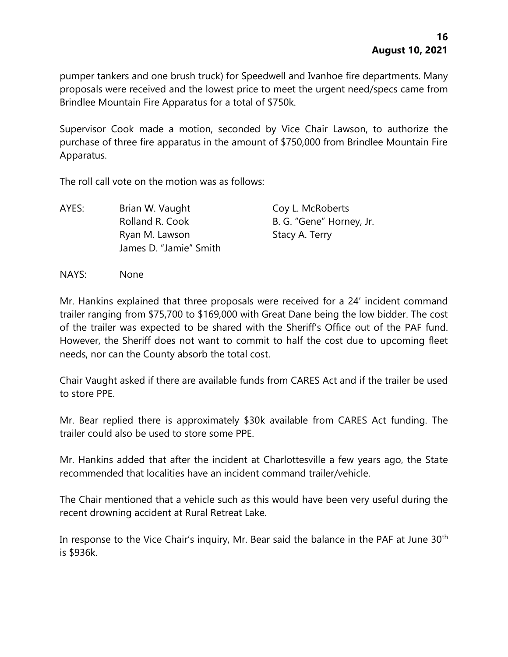pumper tankers and one brush truck) for Speedwell and Ivanhoe fire departments. Many proposals were received and the lowest price to meet the urgent need/specs came from Brindlee Mountain Fire Apparatus for a total of \$750k.

Supervisor Cook made a motion, seconded by Vice Chair Lawson, to authorize the purchase of three fire apparatus in the amount of \$750,000 from Brindlee Mountain Fire Apparatus.

The roll call vote on the motion was as follows:

AYES: Brian W. Vaught Coy L. McRoberts Rolland R. Cook B. G. "Gene" Horney, Jr. Ryan M. Lawson Stacy A. Terry James D. "Jamie" Smith

NAYS: None

Mr. Hankins explained that three proposals were received for a 24' incident command trailer ranging from \$75,700 to \$169,000 with Great Dane being the low bidder. The cost of the trailer was expected to be shared with the Sheriff's Office out of the PAF fund. However, the Sheriff does not want to commit to half the cost due to upcoming fleet needs, nor can the County absorb the total cost.

Chair Vaught asked if there are available funds from CARES Act and if the trailer be used to store PPE.

Mr. Bear replied there is approximately \$30k available from CARES Act funding. The trailer could also be used to store some PPE.

Mr. Hankins added that after the incident at Charlottesville a few years ago, the State recommended that localities have an incident command trailer/vehicle.

The Chair mentioned that a vehicle such as this would have been very useful during the recent drowning accident at Rural Retreat Lake.

In response to the Vice Chair's inquiry, Mr. Bear said the balance in the PAF at June 30<sup>th</sup> is \$936k.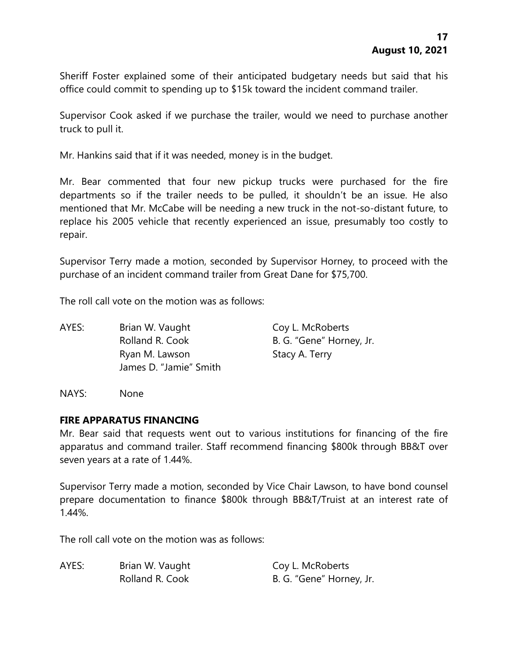Sheriff Foster explained some of their anticipated budgetary needs but said that his office could commit to spending up to \$15k toward the incident command trailer.

Supervisor Cook asked if we purchase the trailer, would we need to purchase another truck to pull it.

Mr. Hankins said that if it was needed, money is in the budget.

Mr. Bear commented that four new pickup trucks were purchased for the fire departments so if the trailer needs to be pulled, it shouldn't be an issue. He also mentioned that Mr. McCabe will be needing a new truck in the not-so-distant future, to replace his 2005 vehicle that recently experienced an issue, presumably too costly to repair.

Supervisor Terry made a motion, seconded by Supervisor Horney, to proceed with the purchase of an incident command trailer from Great Dane for \$75,700.

The roll call vote on the motion was as follows:

AYES: Brian W. Vaught Coy L. McRoberts Rolland R. Cook B. G. "Gene" Horney, Jr. Ryan M. Lawson Stacy A. Terry James D. "Jamie" Smith

NAYS: None

### **FIRE APPARATUS FINANCING**

Mr. Bear said that requests went out to various institutions for financing of the fire apparatus and command trailer. Staff recommend financing \$800k through BB&T over seven years at a rate of 1.44%.

Supervisor Terry made a motion, seconded by Vice Chair Lawson, to have bond counsel prepare documentation to finance \$800k through BB&T/Truist at an interest rate of 1.44%.

The roll call vote on the motion was as follows:

| AYES: | Brian W. Vaught | Coy L. McRoberts         |
|-------|-----------------|--------------------------|
|       | Rolland R. Cook | B. G. "Gene" Horney, Jr. |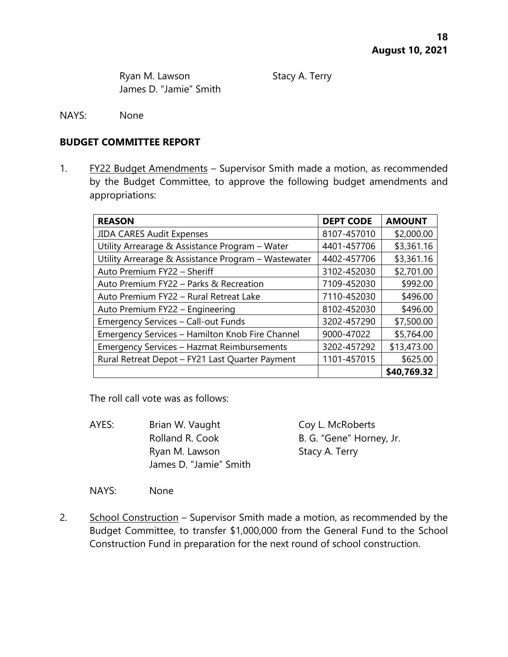Ryan M. Lawson Stacy A. Terry James D. "Jamie" Smith

NAYS: None

#### **BUDGET COMMITTEE REPORT**

1. FY22 Budget Amendments - Supervisor Smith made a motion, as recommended by the Budget Committee, to approve the following budget amendments and appropriations:

| <b>REASON</b>                                       | <b>DEPT CODE</b> | <b>AMOUNT</b> |
|-----------------------------------------------------|------------------|---------------|
| <b>JIDA CARES Audit Expenses</b>                    | 8107-457010      | \$2,000.00    |
| Utility Arrearage & Assistance Program - Water      | 4401-457706      | \$3,361.16    |
| Utility Arrearage & Assistance Program - Wastewater | 4402-457706      | \$3,361.16    |
| Auto Premium FY22 - Sheriff                         | 3102-452030      | \$2,701.00    |
| Auto Premium FY22 - Parks & Recreation              | 7109-452030      | \$992.00      |
| Auto Premium FY22 - Rural Retreat Lake              | 7110-452030      | \$496.00      |
| Auto Premium FY22 - Engineering                     | 8102-452030      | \$496.00      |
| <b>Emergency Services - Call-out Funds</b>          | 3202-457290      | \$7,500.00    |
| Emergency Services - Hamilton Knob Fire Channel     | 9000-47022       | \$5,764.00    |
| <b>Emergency Services - Hazmat Reimbursements</b>   | 3202-457292      | \$13,473.00   |
| Rural Retreat Depot - FY21 Last Quarter Payment     | 1101-457015      | \$625.00      |
|                                                     |                  | \$40,769.32   |

The roll call vote was as follows:

AYES: Brian W. Vaught Coy L. McRoberts Rolland R. Cook B. G. "Gene" Horney, Jr. Ryan M. Lawson Stacy A. Terry James D. "Jamie" Smith

NAYS: None

2. School Construction – Supervisor Smith made a motion, as recommended by the Budget Committee, to transfer \$1,000,000 from the General Fund to the School Construction Fund in preparation for the next round of school construction.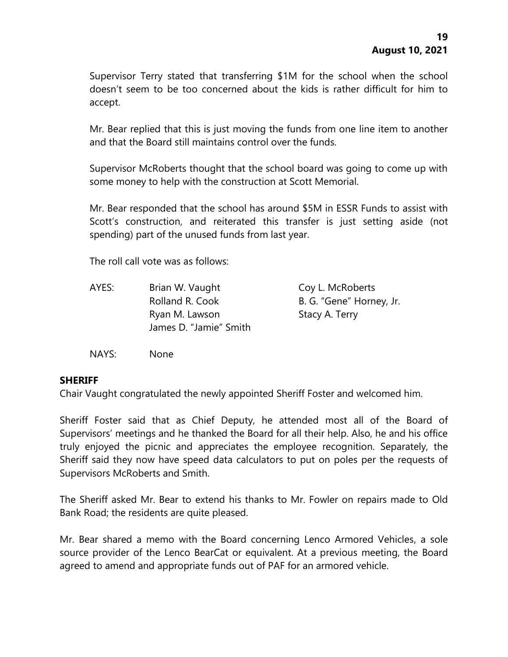Supervisor Terry stated that transferring \$1M for the school when the school doesn't seem to be too concerned about the kids is rather difficult for him to accept.

Mr. Bear replied that this is just moving the funds from one line item to another and that the Board still maintains control over the funds.

Supervisor McRoberts thought that the school board was going to come up with some money to help with the construction at Scott Memorial.

Mr. Bear responded that the school has around \$5M in ESSR Funds to assist with Scott's construction, and reiterated this transfer is just setting aside (not spending) part of the unused funds from last year.

The roll call vote was as follows:

| AYES: | Brian W. Vaught        | Coy L. McRoberts         |
|-------|------------------------|--------------------------|
|       | Rolland R. Cook        | B. G. "Gene" Horney, Jr. |
|       | Ryan M. Lawson         | Stacy A. Terry           |
|       | James D. "Jamie" Smith |                          |

NAYS: None

#### **SHERIFF**

Chair Vaught congratulated the newly appointed Sheriff Foster and welcomed him.

Sheriff Foster said that as Chief Deputy, he attended most all of the Board of Supervisors' meetings and he thanked the Board for all their help. Also, he and his office truly enjoyed the picnic and appreciates the employee recognition. Separately, the Sheriff said they now have speed data calculators to put on poles per the requests of Supervisors McRoberts and Smith.

The Sheriff asked Mr. Bear to extend his thanks to Mr. Fowler on repairs made to Old Bank Road; the residents are quite pleased.

Mr. Bear shared a memo with the Board concerning Lenco Armored Vehicles, a sole source provider of the Lenco BearCat or equivalent. At a previous meeting, the Board agreed to amend and appropriate funds out of PAF for an armored vehicle.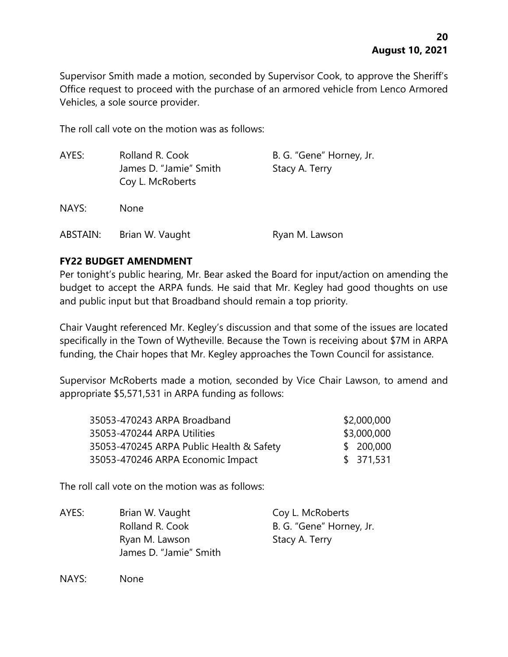Supervisor Smith made a motion, seconded by Supervisor Cook, to approve the Sheriff's Office request to proceed with the purchase of an armored vehicle from Lenco Armored Vehicles, a sole source provider.

The roll call vote on the motion was as follows:

| AYES:    | Rolland R. Cook<br>James D. "Jamie" Smith<br>Coy L. McRoberts | B. G. "Gene" Horney, Jr.<br>Stacy A. Terry |
|----------|---------------------------------------------------------------|--------------------------------------------|
| NAYS:    | <b>None</b>                                                   |                                            |
| ABSTAIN: | Brian W. Vaught                                               | Ryan M. Lawson                             |

## **FY22 BUDGET AMENDMENT**

Per tonight's public hearing, Mr. Bear asked the Board for input/action on amending the budget to accept the ARPA funds. He said that Mr. Kegley had good thoughts on use and public input but that Broadband should remain a top priority.

Chair Vaught referenced Mr. Kegley's discussion and that some of the issues are located specifically in the Town of Wytheville. Because the Town is receiving about \$7M in ARPA funding, the Chair hopes that Mr. Kegley approaches the Town Council for assistance.

Supervisor McRoberts made a motion, seconded by Vice Chair Lawson, to amend and appropriate \$5,571,531 in ARPA funding as follows:

| 35053-470243 ARPA Broadband              | \$2,000,000 |
|------------------------------------------|-------------|
| 35053-470244 ARPA Utilities              | \$3,000,000 |
| 35053-470245 ARPA Public Health & Safety | \$200,000   |
| 35053-470246 ARPA Economic Impact        | \$371,531   |

The roll call vote on the motion was as follows:

| AYES: | Brian W. Vaught        | Coy L. McRoberts         |
|-------|------------------------|--------------------------|
|       | Rolland R. Cook        | B. G. "Gene" Horney, Jr. |
|       | Ryan M. Lawson         | Stacy A. Terry           |
|       | James D. "Jamie" Smith |                          |

NAYS: None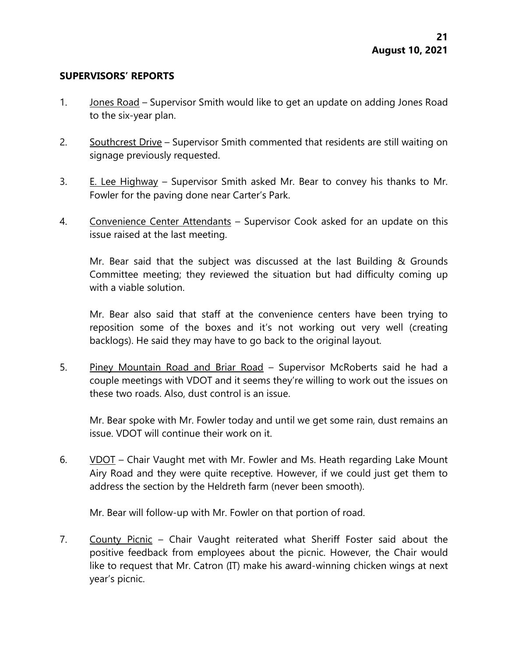#### **SUPERVISORS' REPORTS**

- 1. Jones Road Supervisor Smith would like to get an update on adding Jones Road to the six-year plan.
- 2. Southcrest Drive Supervisor Smith commented that residents are still waiting on signage previously requested.
- 3. E. Lee Highway Supervisor Smith asked Mr. Bear to convey his thanks to Mr. Fowler for the paving done near Carter's Park.
- 4. Convenience Center Attendants Supervisor Cook asked for an update on this issue raised at the last meeting.

Mr. Bear said that the subject was discussed at the last Building & Grounds Committee meeting; they reviewed the situation but had difficulty coming up with a viable solution.

Mr. Bear also said that staff at the convenience centers have been trying to reposition some of the boxes and it's not working out very well (creating backlogs). He said they may have to go back to the original layout.

5. Piney Mountain Road and Briar Road - Supervisor McRoberts said he had a couple meetings with VDOT and it seems they're willing to work out the issues on these two roads. Also, dust control is an issue.

Mr. Bear spoke with Mr. Fowler today and until we get some rain, dust remains an issue. VDOT will continue their work on it.

6. VDOT – Chair Vaught met with Mr. Fowler and Ms. Heath regarding Lake Mount Airy Road and they were quite receptive. However, if we could just get them to address the section by the Heldreth farm (never been smooth).

Mr. Bear will follow-up with Mr. Fowler on that portion of road.

7. County Picnic – Chair Vaught reiterated what Sheriff Foster said about the positive feedback from employees about the picnic. However, the Chair would like to request that Mr. Catron (IT) make his award-winning chicken wings at next year's picnic.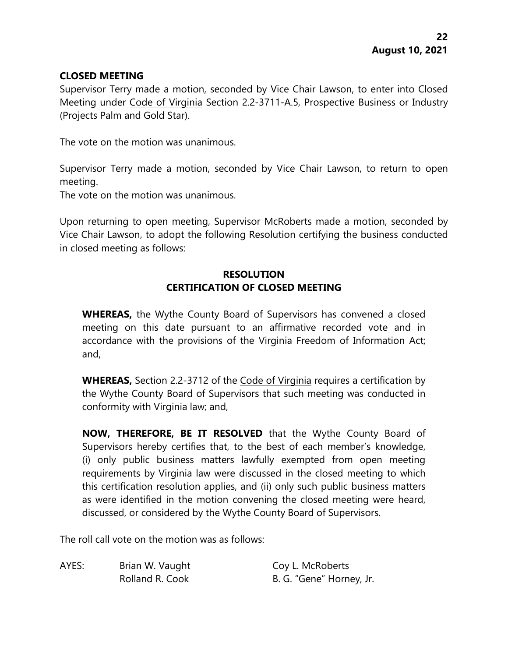### **CLOSED MEETING**

Supervisor Terry made a motion, seconded by Vice Chair Lawson, to enter into Closed Meeting under Code of Virginia Section 2.2-3711-A.5, Prospective Business or Industry (Projects Palm and Gold Star).

The vote on the motion was unanimous.

Supervisor Terry made a motion, seconded by Vice Chair Lawson, to return to open meeting.

The vote on the motion was unanimous.

Upon returning to open meeting, Supervisor McRoberts made a motion, seconded by Vice Chair Lawson, to adopt the following Resolution certifying the business conducted in closed meeting as follows:

## **RESOLUTION CERTIFICATION OF CLOSED MEETING**

**WHEREAS,** the Wythe County Board of Supervisors has convened a closed meeting on this date pursuant to an affirmative recorded vote and in accordance with the provisions of the Virginia Freedom of Information Act; and,

**WHEREAS,** Section 2.2-3712 of the Code of Virginia requires a certification by the Wythe County Board of Supervisors that such meeting was conducted in conformity with Virginia law; and,

**NOW, THEREFORE, BE IT RESOLVED** that the Wythe County Board of Supervisors hereby certifies that, to the best of each member's knowledge, (i) only public business matters lawfully exempted from open meeting requirements by Virginia law were discussed in the closed meeting to which this certification resolution applies, and (ii) only such public business matters as were identified in the motion convening the closed meeting were heard, discussed, or considered by the Wythe County Board of Supervisors.

The roll call vote on the motion was as follows:

AYES: Brian W. Vaught Coy L. McRoberts

Rolland R. Cook B. G. "Gene" Horney, Jr.